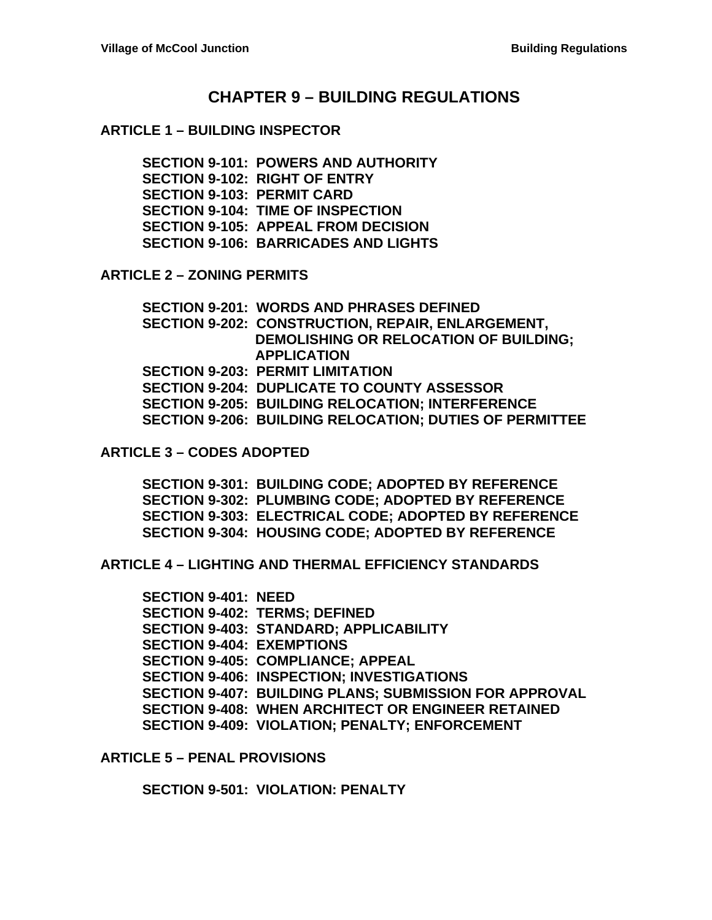# **CHAPTER 9 – BUILDING REGULATIONS**

#### **ARTICLE 1 – BUILDING INSPECTOR**

**SECTION 9-101: POWERS AND AUTHORITY SECTION 9-102: RIGHT OF ENTRY SECTION 9-103: PERMIT CARD SECTION 9-104: TIME OF INSPECTION SECTION 9-105: APPEAL FROM DECISION SECTION 9-106: BARRICADES AND LIGHTS**

**ARTICLE 2 – ZONING PERMITS**

**SECTION 9-201: WORDS AND PHRASES DEFINED SECTION 9-202: CONSTRUCTION, REPAIR, ENLARGEMENT, DEMOLISHING OR RELOCATION OF BUILDING; APPLICATION SECTION 9-203: PERMIT LIMITATION SECTION 9-204: DUPLICATE TO COUNTY ASSESSOR SECTION 9-205: BUILDING RELOCATION; INTERFERENCE SECTION 9-206: BUILDING RELOCATION; DUTIES OF PERMITTEE**

**ARTICLE 3 – CODES ADOPTED**

**SECTION 9-301: BUILDING CODE; ADOPTED BY REFERENCE SECTION 9-302: PLUMBING CODE; ADOPTED BY REFERENCE SECTION 9-303: ELECTRICAL CODE; ADOPTED BY REFERENCE SECTION 9-304: HOUSING CODE; ADOPTED BY REFERENCE**

**ARTICLE 4 – LIGHTING AND THERMAL EFFICIENCY STANDARDS**

**SECTION 9-401: NEED SECTION 9-402: TERMS; DEFINED SECTION 9-403: STANDARD; APPLICABILITY SECTION 9-404: EXEMPTIONS SECTION 9-405: COMPLIANCE; APPEAL SECTION 9-406: INSPECTION; INVESTIGATIONS SECTION 9-407: BUILDING PLANS; SUBMISSION FOR APPROVAL SECTION 9-408: WHEN ARCHITECT OR ENGINEER RETAINED SECTION 9-409: VIOLATION; PENALTY; ENFORCEMENT**

**ARTICLE 5 – PENAL PROVISIONS**

**SECTION 9-501: VIOLATION: PENALTY**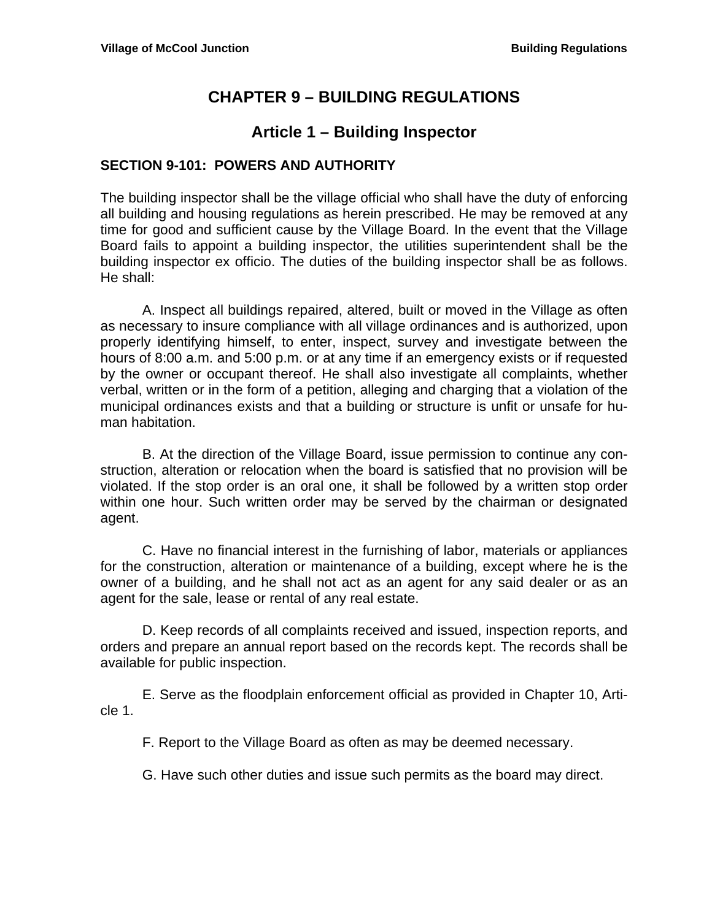# **CHAPTER 9 – BUILDING REGULATIONS**

# **Article 1 – Building Inspector**

## **SECTION 9-101: POWERS AND AUTHORITY**

The building inspector shall be the village official who shall have the duty of enforcing all building and housing regulations as herein prescribed. He may be removed at any time for good and sufficient cause by the Village Board. In the event that the Village Board fails to appoint a building inspector, the utilities superintendent shall be the building inspector ex officio. The duties of the building inspector shall be as follows. He shall:

A. Inspect all buildings repaired, altered, built or moved in the Village as often as necessary to insure compliance with all village ordinances and is authorized, upon properly identifying himself, to enter, inspect, survey and investigate between the hours of 8:00 a.m. and 5:00 p.m. or at any time if an emergency exists or if requested by the owner or occupant thereof. He shall also investigate all complaints, whether verbal, written or in the form of a petition, alleging and charging that a violation of the municipal ordinances exists and that a building or structure is unfit or unsafe for human habitation.

B. At the direction of the Village Board, issue permission to continue any construction, alteration or relocation when the board is satisfied that no provision will be violated. If the stop order is an oral one, it shall be followed by a written stop order within one hour. Such written order may be served by the chairman or designated agent.

C. Have no financial interest in the furnishing of labor, materials or appliances for the construction, alteration or maintenance of a building, except where he is the owner of a building, and he shall not act as an agent for any said dealer or as an agent for the sale, lease or rental of any real estate.

D. Keep records of all complaints received and issued, inspection reports, and orders and prepare an annual report based on the records kept. The records shall be available for public inspection.

E. Serve as the floodplain enforcement official as provided in Chapter 10, Article 1.

F. Report to the Village Board as often as may be deemed necessary.

G. Have such other duties and issue such permits as the board may direct.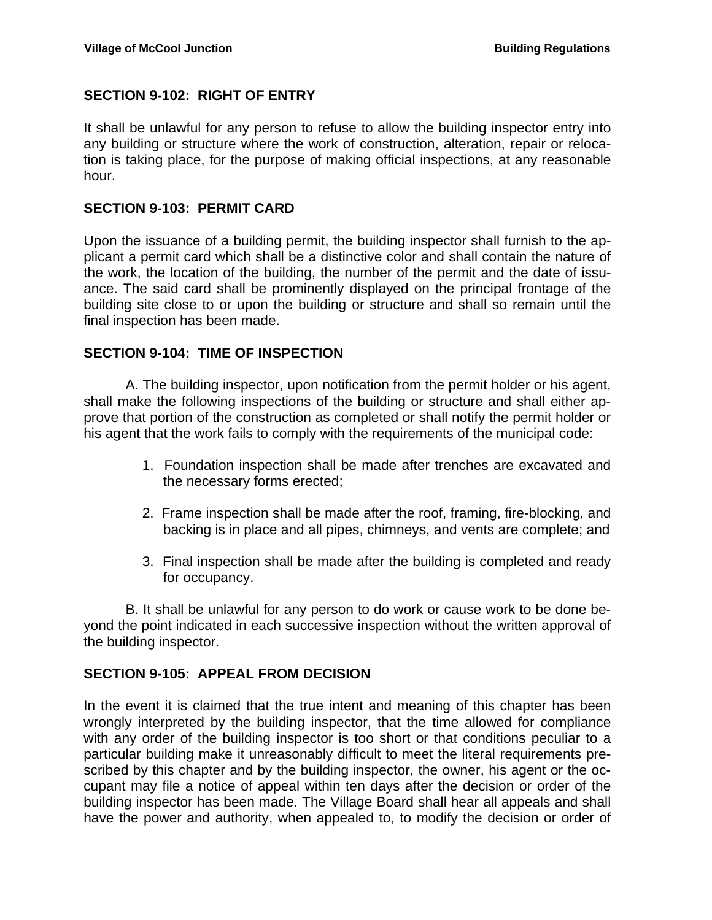## **SECTION 9-102: RIGHT OF ENTRY**

It shall be unlawful for any person to refuse to allow the building inspector entry into any building or structure where the work of construction, alteration, repair or relocation is taking place, for the purpose of making official inspections, at any reasonable hour.

#### **SECTION 9-103: PERMIT CARD**

Upon the issuance of a building permit, the building inspector shall furnish to the applicant a permit card which shall be a distinctive color and shall contain the nature of the work, the location of the building, the number of the permit and the date of issuance. The said card shall be prominently displayed on the principal frontage of the building site close to or upon the building or structure and shall so remain until the final inspection has been made.

#### **SECTION 9-104: TIME OF INSPECTION**

A. The building inspector, upon notification from the permit holder or his agent, shall make the following inspections of the building or structure and shall either approve that portion of the construction as completed or shall notify the permit holder or his agent that the work fails to comply with the requirements of the municipal code:

- 1. Foundation inspection shall be made after trenches are excavated and the necessary forms erected;
- 2. Frame inspection shall be made after the roof, framing, fire-blocking, and backing is in place and all pipes, chimneys, and vents are complete; and
- 3. Final inspection shall be made after the building is completed and ready for occupancy.

B. It shall be unlawful for any person to do work or cause work to be done beyond the point indicated in each successive inspection without the written approval of the building inspector.

### **SECTION 9-105: APPEAL FROM DECISION**

In the event it is claimed that the true intent and meaning of this chapter has been wrongly interpreted by the building inspector, that the time allowed for compliance with any order of the building inspector is too short or that conditions peculiar to a particular building make it unreasonably difficult to meet the literal requirements prescribed by this chapter and by the building inspector, the owner, his agent or the occupant may file a notice of appeal within ten days after the decision or order of the building inspector has been made. The Village Board shall hear all appeals and shall have the power and authority, when appealed to, to modify the decision or order of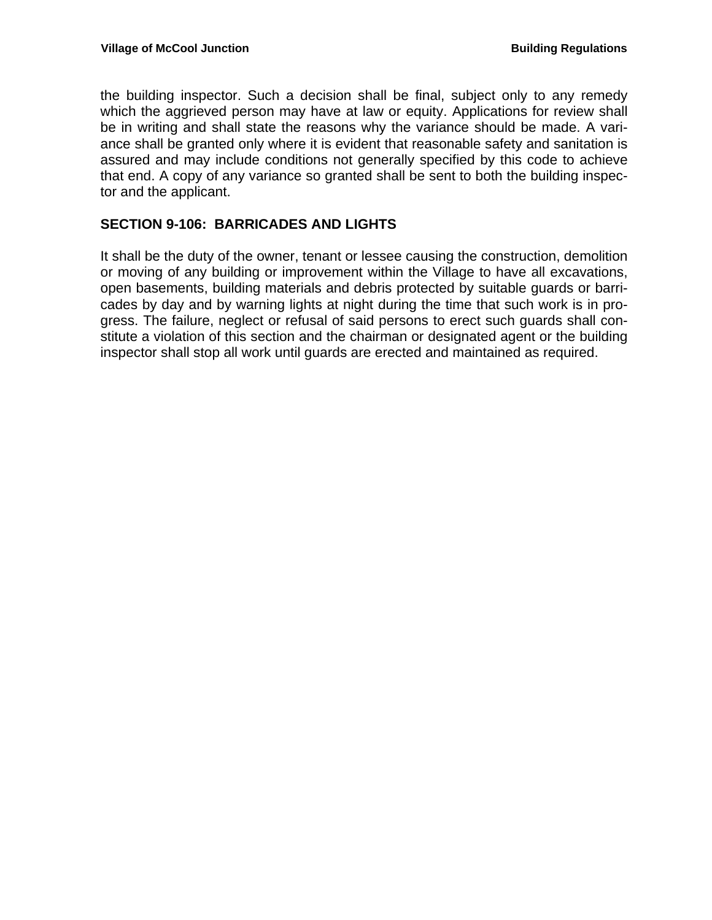the building inspector. Such a decision shall be final, subject only to any remedy which the aggrieved person may have at law or equity. Applications for review shall be in writing and shall state the reasons why the variance should be made. A variance shall be granted only where it is evident that reasonable safety and sanitation is assured and may include conditions not generally specified by this code to achieve that end. A copy of any variance so granted shall be sent to both the building inspector and the applicant.

## **SECTION 9-106: BARRICADES AND LIGHTS**

It shall be the duty of the owner, tenant or lessee causing the construction, demolition or moving of any building or improvement within the Village to have all excavations, open basements, building materials and debris protected by suitable guards or barricades by day and by warning lights at night during the time that such work is in progress. The failure, neglect or refusal of said persons to erect such guards shall constitute a violation of this section and the chairman or designated agent or the building inspector shall stop all work until guards are erected and maintained as required.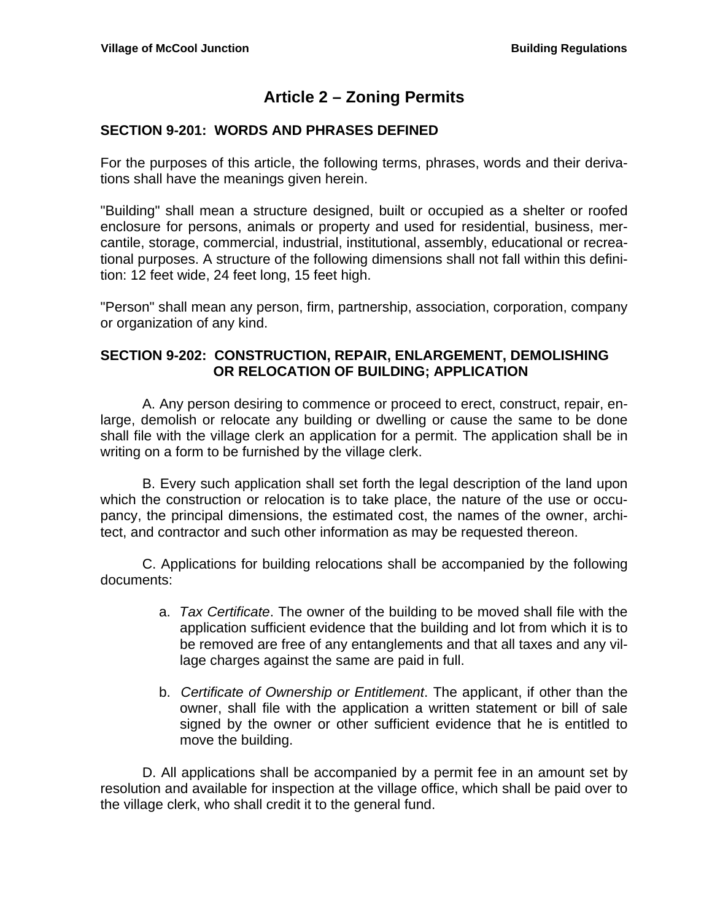# **Article 2 – Zoning Permits**

## **SECTION 9-201: WORDS AND PHRASES DEFINED**

For the purposes of this article, the following terms, phrases, words and their derivations shall have the meanings given herein.

"Building" shall mean a structure designed, built or occupied as a shelter or roofed enclosure for persons, animals or property and used for residential, business, mercantile, storage, commercial, industrial, institutional, assembly, educational or recreational purposes. A structure of the following dimensions shall not fall within this definition: 12 feet wide, 24 feet long, 15 feet high.

"Person" shall mean any person, firm, partnership, association, corporation, company or organization of any kind.

## **SECTION 9-202: CONSTRUCTION, REPAIR, ENLARGEMENT, DEMOLISHING OR RELOCATION OF BUILDING; APPLICATION**

 A. Any person desiring to commence or proceed to erect, construct, repair, enlarge, demolish or relocate any building or dwelling or cause the same to be done shall file with the village clerk an application for a permit. The application shall be in writing on a form to be furnished by the village clerk.

 B. Every such application shall set forth the legal description of the land upon which the construction or relocation is to take place, the nature of the use or occupancy, the principal dimensions, the estimated cost, the names of the owner, architect, and contractor and such other information as may be requested thereon.

C. Applications for building relocations shall be accompanied by the following documents:

- a. *Tax Certificate*. The owner of the building to be moved shall file with the application sufficient evidence that the building and lot from which it is to be removed are free of any entanglements and that all taxes and any village charges against the same are paid in full.
- b. *Certificate of Ownership or Entitlement*. The applicant, if other than the owner, shall file with the application a written statement or bill of sale signed by the owner or other sufficient evidence that he is entitled to move the building.

D. All applications shall be accompanied by a permit fee in an amount set by resolution and available for inspection at the village office, which shall be paid over to the village clerk, who shall credit it to the general fund.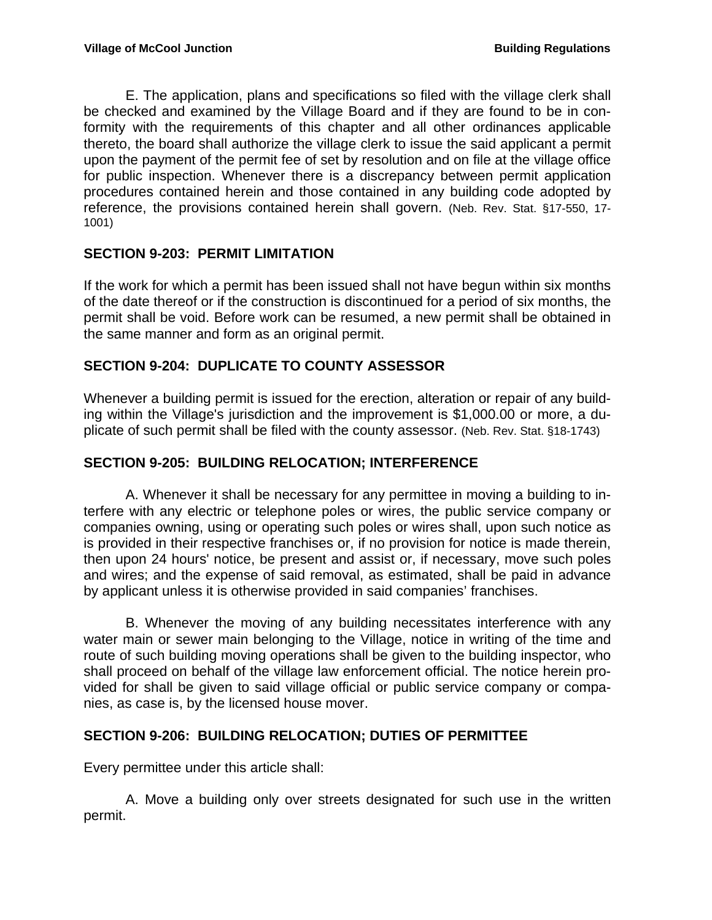E. The application, plans and specifications so filed with the village clerk shall be checked and examined by the Village Board and if they are found to be in conformity with the requirements of this chapter and all other ordinances applicable thereto, the board shall authorize the village clerk to issue the said applicant a permit upon the payment of the permit fee of set by resolution and on file at the village office for public inspection. Whenever there is a discrepancy between permit application procedures contained herein and those contained in any building code adopted by reference, the provisions contained herein shall govern. (Neb. Rev. Stat. §17-550, 17- 1001)

# **SECTION 9-203: PERMIT LIMITATION**

If the work for which a permit has been issued shall not have begun within six months of the date thereof or if the construction is discontinued for a period of six months, the permit shall be void. Before work can be resumed, a new permit shall be obtained in the same manner and form as an original permit.

# **SECTION 9-204: DUPLICATE TO COUNTY ASSESSOR**

Whenever a building permit is issued for the erection, alteration or repair of any building within the Village's jurisdiction and the improvement is \$1,000.00 or more, a duplicate of such permit shall be filed with the county assessor. (Neb. Rev. Stat. §18-1743)

## **SECTION 9-205: BUILDING RELOCATION; INTERFERENCE**

A. Whenever it shall be necessary for any permittee in moving a building to interfere with any electric or telephone poles or wires, the public service company or companies owning, using or operating such poles or wires shall, upon such notice as is provided in their respective franchises or, if no provision for notice is made therein, then upon 24 hours' notice, be present and assist or, if necessary, move such poles and wires; and the expense of said removal, as estimated, shall be paid in advance by applicant unless it is otherwise provided in said companies' franchises.

B. Whenever the moving of any building necessitates interference with any water main or sewer main belonging to the Village, notice in writing of the time and route of such building moving operations shall be given to the building inspector, who shall proceed on behalf of the village law enforcement official. The notice herein provided for shall be given to said village official or public service company or companies, as case is, by the licensed house mover.

## **SECTION 9-206: BUILDING RELOCATION; DUTIES OF PERMITTEE**

Every permittee under this article shall:

 A. Move a building only over streets designated for such use in the written permit.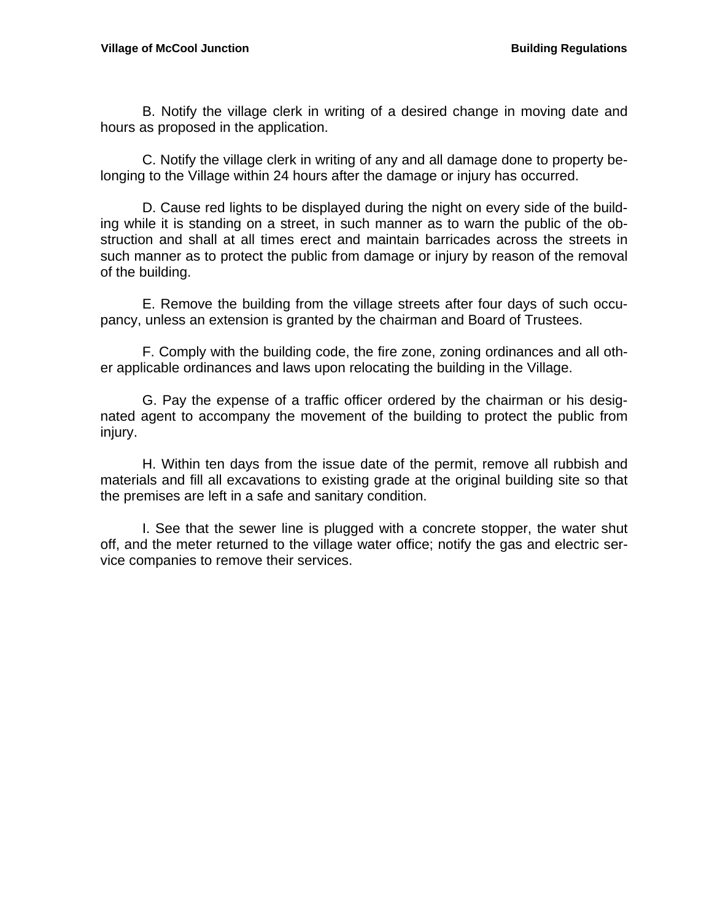B. Notify the village clerk in writing of a desired change in moving date and hours as proposed in the application.

 C. Notify the village clerk in writing of any and all damage done to property belonging to the Village within 24 hours after the damage or injury has occurred.

 D. Cause red lights to be displayed during the night on every side of the building while it is standing on a street, in such manner as to warn the public of the obstruction and shall at all times erect and maintain barricades across the streets in such manner as to protect the public from damage or injury by reason of the removal of the building.

 E. Remove the building from the village streets after four days of such occupancy, unless an extension is granted by the chairman and Board of Trustees.

 F. Comply with the building code, the fire zone, zoning ordinances and all other applicable ordinances and laws upon relocating the building in the Village.

 G. Pay the expense of a traffic officer ordered by the chairman or his designated agent to accompany the movement of the building to protect the public from injury.

 H. Within ten days from the issue date of the permit, remove all rubbish and materials and fill all excavations to existing grade at the original building site so that the premises are left in a safe and sanitary condition.

 I. See that the sewer line is plugged with a concrete stopper, the water shut off, and the meter returned to the village water office; notify the gas and electric service companies to remove their services.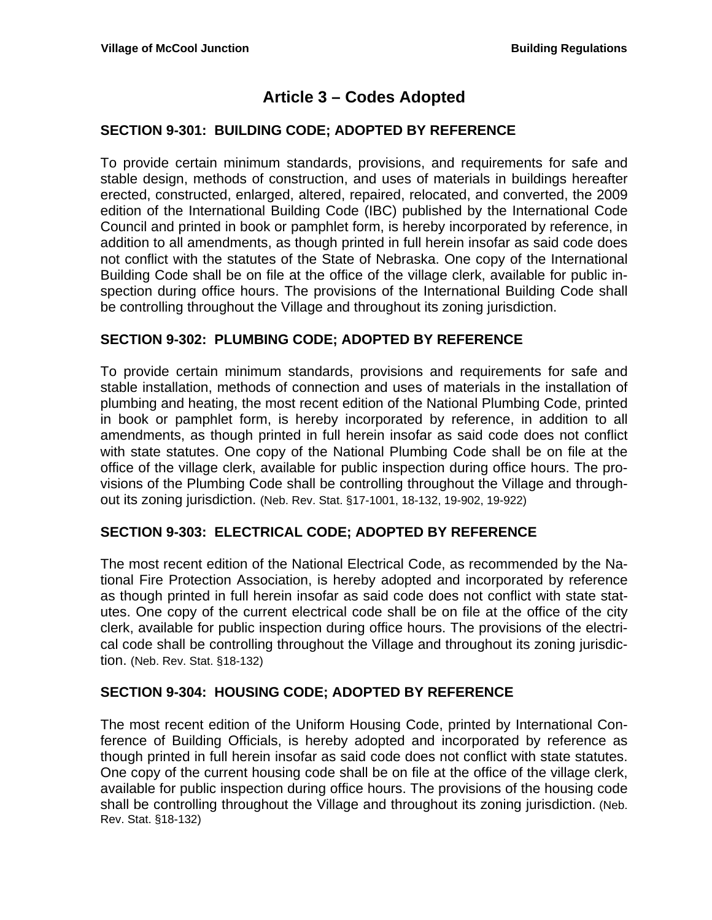# **Article 3 – Codes Adopted**

## **SECTION 9-301: BUILDING CODE; ADOPTED BY REFERENCE**

To provide certain minimum standards, provisions, and requirements for safe and stable design, methods of construction, and uses of materials in buildings hereafter erected, constructed, enlarged, altered, repaired, relocated, and converted, the 2009 edition of the International Building Code (IBC) published by the International Code Council and printed in book or pamphlet form, is hereby incorporated by reference, in addition to all amendments, as though printed in full herein insofar as said code does not conflict with the statutes of the State of Nebraska. One copy of the International Building Code shall be on file at the office of the village clerk, available for public inspection during office hours. The provisions of the International Building Code shall be controlling throughout the Village and throughout its zoning jurisdiction.

### **SECTION 9-302: PLUMBING CODE; ADOPTED BY REFERENCE**

To provide certain minimum standards, provisions and requirements for safe and stable installation, methods of connection and uses of materials in the installation of plumbing and heating, the most recent edition of the National Plumbing Code, printed in book or pamphlet form, is hereby incorporated by reference, in addition to all amendments, as though printed in full herein insofar as said code does not conflict with state statutes. One copy of the National Plumbing Code shall be on file at the office of the village clerk, available for public inspection during office hours. The provisions of the Plumbing Code shall be controlling throughout the Village and throughout its zoning jurisdiction. (Neb. Rev. Stat. §17-1001, 18-132, 19-902, 19-922)

### **SECTION 9-303: ELECTRICAL CODE; ADOPTED BY REFERENCE**

The most recent edition of the National Electrical Code, as recommended by the National Fire Protection Association, is hereby adopted and incorporated by reference as though printed in full herein insofar as said code does not conflict with state statutes. One copy of the current electrical code shall be on file at the office of the city clerk, available for public inspection during office hours. The provisions of the electrical code shall be controlling throughout the Village and throughout its zoning jurisdiction. (Neb. Rev. Stat. §18-132)

### **SECTION 9-304: HOUSING CODE; ADOPTED BY REFERENCE**

The most recent edition of the Uniform Housing Code, printed by International Conference of Building Officials, is hereby adopted and incorporated by reference as though printed in full herein insofar as said code does not conflict with state statutes. One copy of the current housing code shall be on file at the office of the village clerk, available for public inspection during office hours. The provisions of the housing code shall be controlling throughout the Village and throughout its zoning jurisdiction. (Neb. Rev. Stat. §18-132)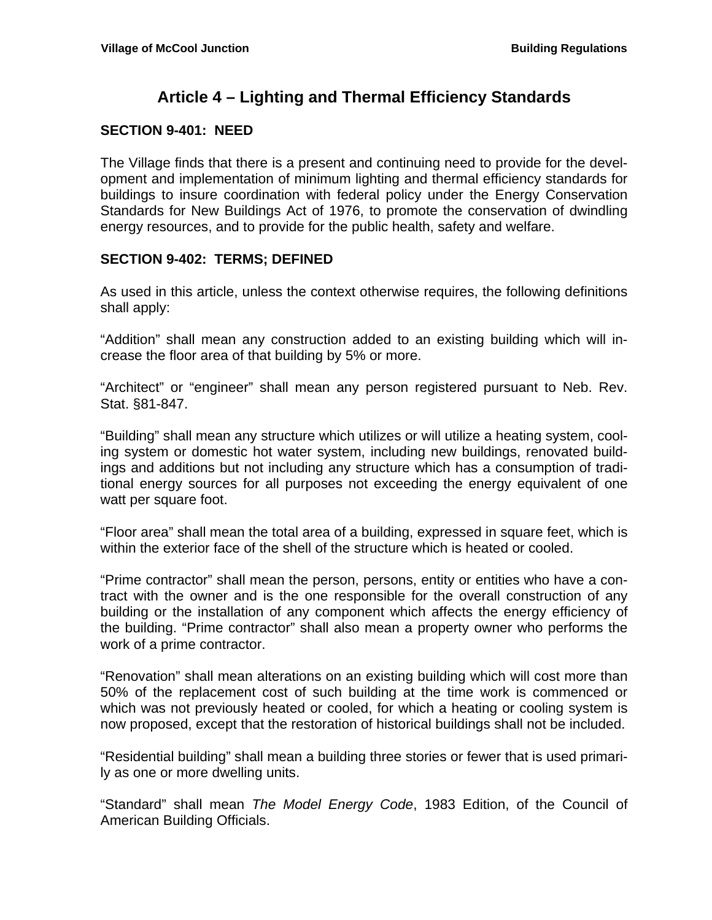# **Article 4 – Lighting and Thermal Efficiency Standards**

## **SECTION 9-401: NEED**

The Village finds that there is a present and continuing need to provide for the development and implementation of minimum lighting and thermal efficiency standards for buildings to insure coordination with federal policy under the Energy Conservation Standards for New Buildings Act of 1976, to promote the conservation of dwindling energy resources, and to provide for the public health, safety and welfare.

### **SECTION 9-402: TERMS; DEFINED**

As used in this article, unless the context otherwise requires, the following definitions shall apply:

"Addition" shall mean any construction added to an existing building which will increase the floor area of that building by 5% or more.

"Architect" or "engineer" shall mean any person registered pursuant to Neb. Rev. Stat. §81-847.

"Building" shall mean any structure which utilizes or will utilize a heating system, cooling system or domestic hot water system, including new buildings, renovated buildings and additions but not including any structure which has a consumption of traditional energy sources for all purposes not exceeding the energy equivalent of one watt per square foot.

"Floor area" shall mean the total area of a building, expressed in square feet, which is within the exterior face of the shell of the structure which is heated or cooled.

"Prime contractor" shall mean the person, persons, entity or entities who have a contract with the owner and is the one responsible for the overall construction of any building or the installation of any component which affects the energy efficiency of the building. "Prime contractor" shall also mean a property owner who performs the work of a prime contractor.

"Renovation" shall mean alterations on an existing building which will cost more than 50% of the replacement cost of such building at the time work is commenced or which was not previously heated or cooled, for which a heating or cooling system is now proposed, except that the restoration of historical buildings shall not be included.

"Residential building" shall mean a building three stories or fewer that is used primarily as one or more dwelling units.

"Standard" shall mean *The Model Energy Code*, 1983 Edition, of the Council of American Building Officials.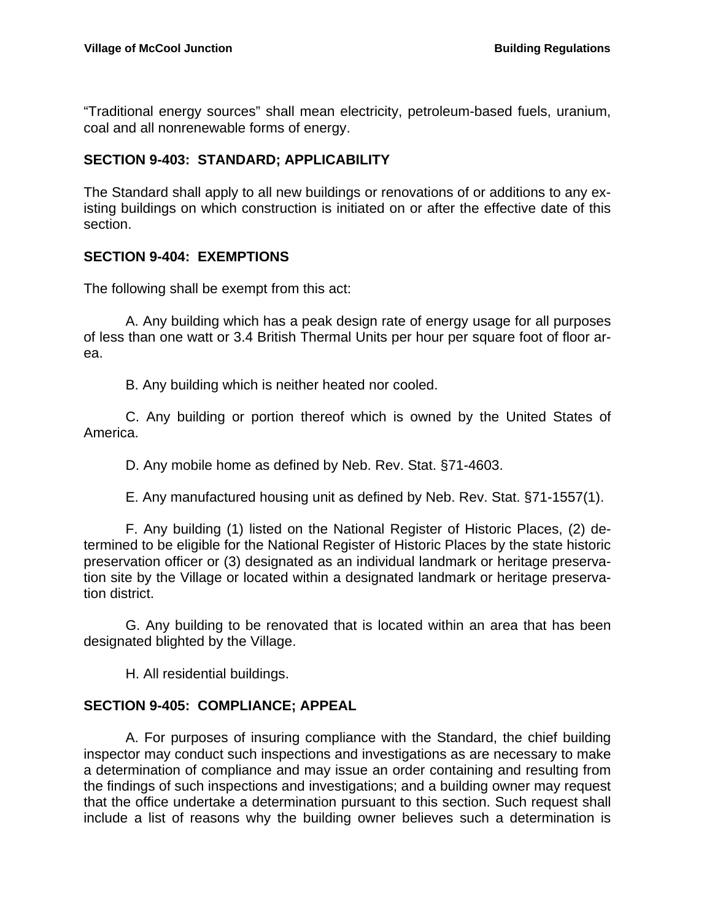"Traditional energy sources" shall mean electricity, petroleum-based fuels, uranium, coal and all nonrenewable forms of energy.

# **SECTION 9-403: STANDARD; APPLICABILITY**

The Standard shall apply to all new buildings or renovations of or additions to any existing buildings on which construction is initiated on or after the effective date of this section.

# **SECTION 9-404: EXEMPTIONS**

The following shall be exempt from this act:

A. Any building which has a peak design rate of energy usage for all purposes of less than one watt or 3.4 British Thermal Units per hour per square foot of floor area.

B. Any building which is neither heated nor cooled.

C. Any building or portion thereof which is owned by the United States of America.

D. Any mobile home as defined by Neb. Rev. Stat. §71-4603.

E. Any manufactured housing unit as defined by Neb. Rev. Stat. §71-1557(1).

F. Any building (1) listed on the National Register of Historic Places, (2) determined to be eligible for the National Register of Historic Places by the state historic preservation officer or (3) designated as an individual landmark or heritage preservation site by the Village or located within a designated landmark or heritage preservation district.

G. Any building to be renovated that is located within an area that has been designated blighted by the Village.

H. All residential buildings.

## **SECTION 9-405: COMPLIANCE; APPEAL**

 A. For purposes of insuring compliance with the Standard, the chief building inspector may conduct such inspections and investigations as are necessary to make a determination of compliance and may issue an order containing and resulting from the findings of such inspections and investigations; and a building owner may request that the office undertake a determination pursuant to this section. Such request shall include a list of reasons why the building owner believes such a determination is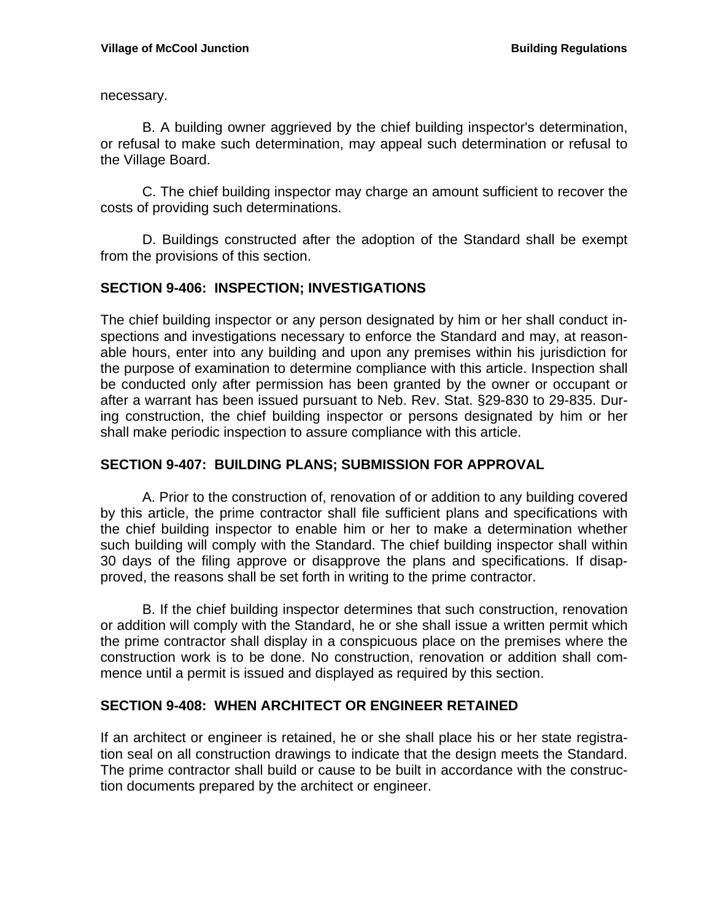necessary.

 B. A building owner aggrieved by the chief building inspector's determination, or refusal to make such determination, may appeal such determination or refusal to the Village Board.

 C. The chief building inspector may charge an amount sufficient to recover the costs of providing such determinations.

D. Buildings constructed after the adoption of the Standard shall be exempt from the provisions of this section.

### **SECTION 9-406: INSPECTION; INVESTIGATIONS**

The chief building inspector or any person designated by him or her shall conduct inspections and investigations necessary to enforce the Standard and may, at reasonable hours, enter into any building and upon any premises within his jurisdiction for the purpose of examination to determine compliance with this article. Inspection shall be conducted only after permission has been granted by the owner or occupant or after a warrant has been issued pursuant to Neb. Rev. Stat. §29-830 to 29-835. During construction, the chief building inspector or persons designated by him or her shall make periodic inspection to assure compliance with this article.

### **SECTION 9-407: BUILDING PLANS; SUBMISSION FOR APPROVAL**

 A. Prior to the construction of, renovation of or addition to any building covered by this article, the prime contractor shall file sufficient plans and specifications with the chief building inspector to enable him or her to make a determination whether such building will comply with the Standard. The chief building inspector shall within 30 days of the filing approve or disapprove the plans and specifications. If disapproved, the reasons shall be set forth in writing to the prime contractor.

 B. If the chief building inspector determines that such construction, renovation or addition will comply with the Standard, he or she shall issue a written permit which the prime contractor shall display in a conspicuous place on the premises where the construction work is to be done. No construction, renovation or addition shall commence until a permit is issued and displayed as required by this section.

### **SECTION 9-408: WHEN ARCHITECT OR ENGINEER RETAINED**

If an architect or engineer is retained, he or she shall place his or her state registration seal on all construction drawings to indicate that the design meets the Standard. The prime contractor shall build or cause to be built in accordance with the construction documents prepared by the architect or engineer.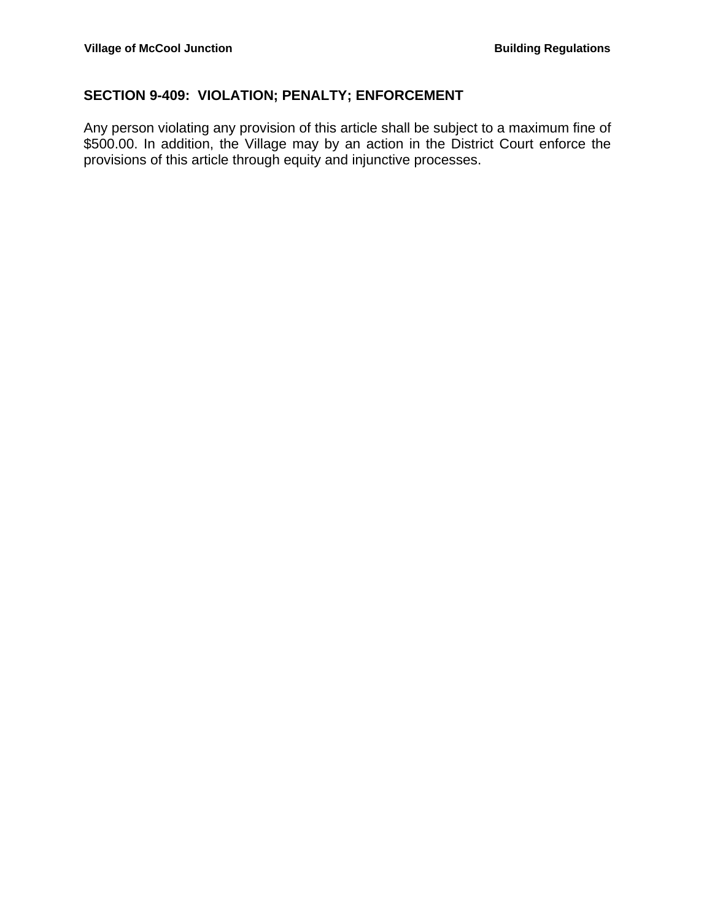# **SECTION 9-409: VIOLATION; PENALTY; ENFORCEMENT**

Any person violating any provision of this article shall be subject to a maximum fine of \$500.00. In addition, the Village may by an action in the District Court enforce the provisions of this article through equity and injunctive processes.